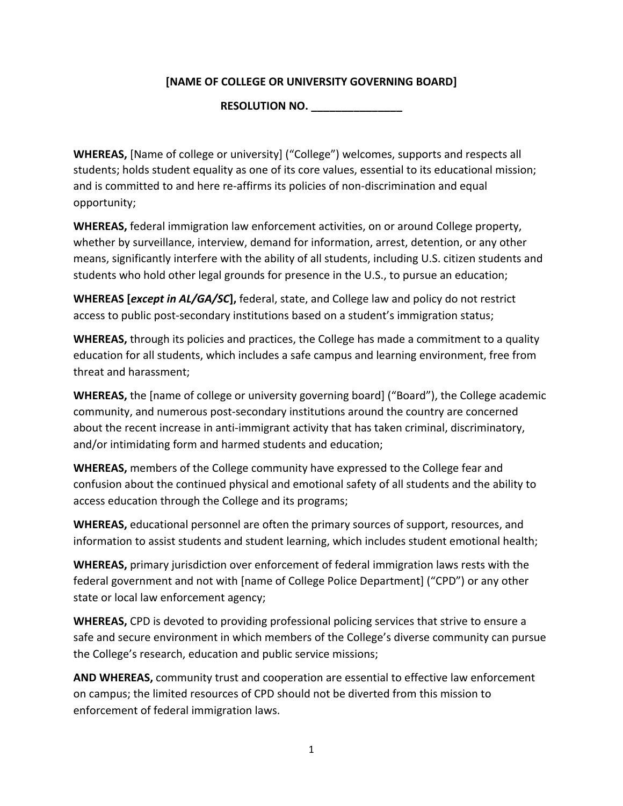## **[NAME OF COLLEGE OR UNIVERSITY GOVERNING BOARD]**

**RESOLUTION NO. \_\_\_\_\_\_\_\_\_\_\_\_\_\_\_**

**WHEREAS,** [Name of college or university] ("College") welcomes, supports and respects all students; holds student equality as one of its core values, essential to its educational mission; and is committed to and here re-affirms its policies of non-discrimination and equal opportunity; 

**WHEREAS,** federal immigration law enforcement activities, on or around College property, whether by surveillance, interview, demand for information, arrest, detention, or any other means, significantly interfere with the ability of all students, including U.S. citizen students and students who hold other legal grounds for presence in the U.S., to pursue an education;

**WHEREAS [***except in AL/GA/SC***],** federal, state, and College law and policy do not restrict access to public post-secondary institutions based on a student's immigration status;

**WHEREAS,** through its policies and practices, the College has made a commitment to a quality education for all students, which includes a safe campus and learning environment, free from threat and harassment;

**WHEREAS,** the [name of college or university governing board] ("Board"), the College academic community, and numerous post-secondary institutions around the country are concerned about the recent increase in anti-immigrant activity that has taken criminal, discriminatory, and/or intimidating form and harmed students and education;

**WHEREAS,** members of the College community have expressed to the College fear and confusion about the continued physical and emotional safety of all students and the ability to access education through the College and its programs;

**WHEREAS,** educational personnel are often the primary sources of support, resources, and information to assist students and student learning, which includes student emotional health;

**WHEREAS,** primary jurisdiction over enforcement of federal immigration laws rests with the federal government and not with [name of College Police Department] ("CPD") or any other state or local law enforcement agency;

**WHEREAS,** CPD is devoted to providing professional policing services that strive to ensure a safe and secure environment in which members of the College's diverse community can pursue the College's research, education and public service missions;

**AND WHEREAS,** community trust and cooperation are essential to effective law enforcement on campus; the limited resources of CPD should not be diverted from this mission to enforcement of federal immigration laws.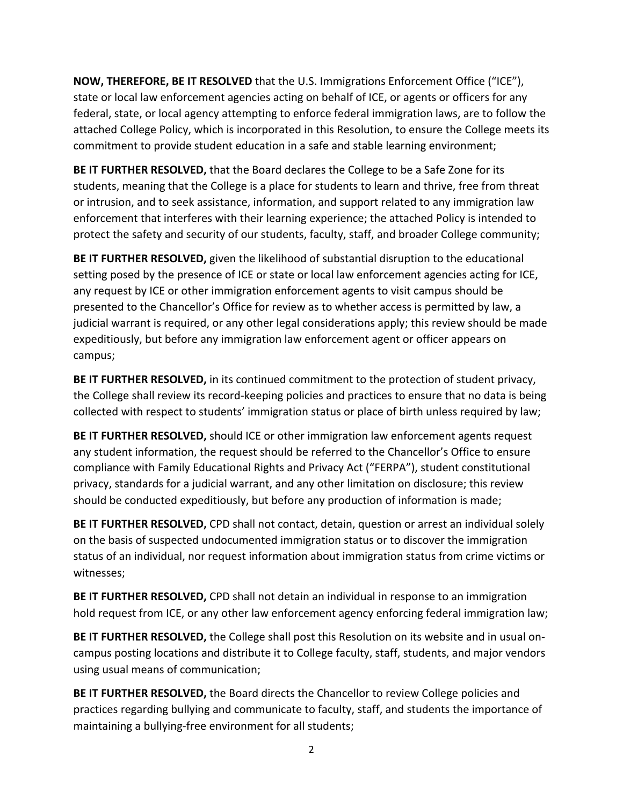**NOW, THEREFORE, BE IT RESOLVED** that the U.S. Immigrations Enforcement Office ("ICE"), state or local law enforcement agencies acting on behalf of ICE, or agents or officers for any federal, state, or local agency attempting to enforce federal immigration laws, are to follow the attached College Policy, which is incorporated in this Resolution, to ensure the College meets its commitment to provide student education in a safe and stable learning environment;

**BE IT FURTHER RESOLVED,** that the Board declares the College to be a Safe Zone for its students, meaning that the College is a place for students to learn and thrive, free from threat or intrusion, and to seek assistance, information, and support related to any immigration law enforcement that interferes with their learning experience; the attached Policy is intended to protect the safety and security of our students, faculty, staff, and broader College community;

**BE IT FURTHER RESOLVED,** given the likelihood of substantial disruption to the educational setting posed by the presence of ICE or state or local law enforcement agencies acting for ICE, any request by ICE or other immigration enforcement agents to visit campus should be presented to the Chancellor's Office for review as to whether access is permitted by law, a judicial warrant is required, or any other legal considerations apply; this review should be made expeditiously, but before any immigration law enforcement agent or officer appears on campus;

**BE IT FURTHER RESOLVED,** in its continued commitment to the protection of student privacy, the College shall review its record-keeping policies and practices to ensure that no data is being collected with respect to students' immigration status or place of birth unless required by law;

BE IT FURTHER RESOLVED, should ICE or other immigration law enforcement agents request any student information, the request should be referred to the Chancellor's Office to ensure compliance with Family Educational Rights and Privacy Act ("FERPA"), student constitutional privacy, standards for a judicial warrant, and any other limitation on disclosure; this review should be conducted expeditiously, but before any production of information is made;

**BE IT FURTHER RESOLVED,** CPD shall not contact, detain, question or arrest an individual solely on the basis of suspected undocumented immigration status or to discover the immigration status of an individual, nor request information about immigration status from crime victims or witnesses;

**BE IT FURTHER RESOLVED,** CPD shall not detain an individual in response to an immigration hold request from ICE, or any other law enforcement agency enforcing federal immigration law;

BE IT FURTHER RESOLVED, the College shall post this Resolution on its website and in usual oncampus posting locations and distribute it to College faculty, staff, students, and major vendors using usual means of communication;

BE IT FURTHER RESOLVED, the Board directs the Chancellor to review College policies and practices regarding bullying and communicate to faculty, staff, and students the importance of maintaining a bullying-free environment for all students;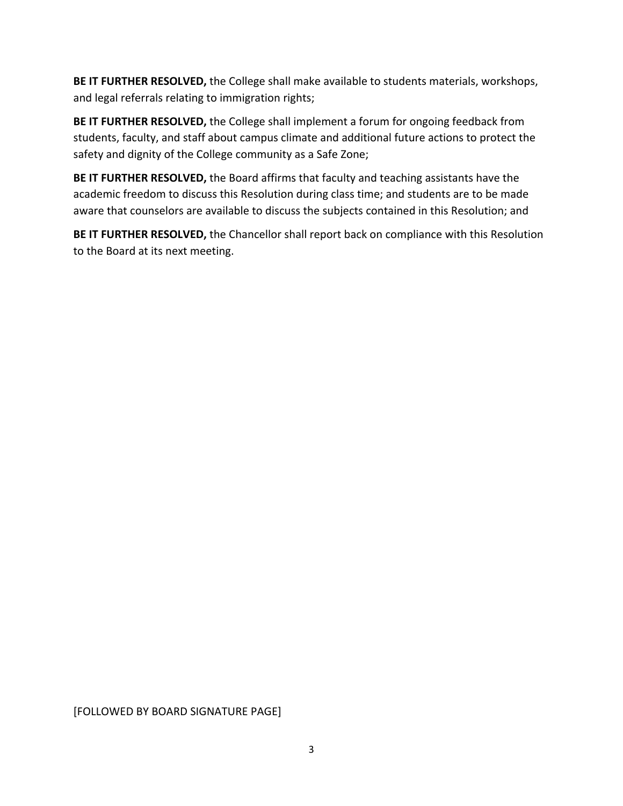BE IT FURTHER RESOLVED, the College shall make available to students materials, workshops, and legal referrals relating to immigration rights;

BE IT FURTHER RESOLVED, the College shall implement a forum for ongoing feedback from students, faculty, and staff about campus climate and additional future actions to protect the safety and dignity of the College community as a Safe Zone;

**BE IT FURTHER RESOLVED,** the Board affirms that faculty and teaching assistants have the academic freedom to discuss this Resolution during class time; and students are to be made aware that counselors are available to discuss the subjects contained in this Resolution; and

BE IT FURTHER RESOLVED, the Chancellor shall report back on compliance with this Resolution to the Board at its next meeting.

[FOLLOWED BY BOARD SIGNATURE PAGE]